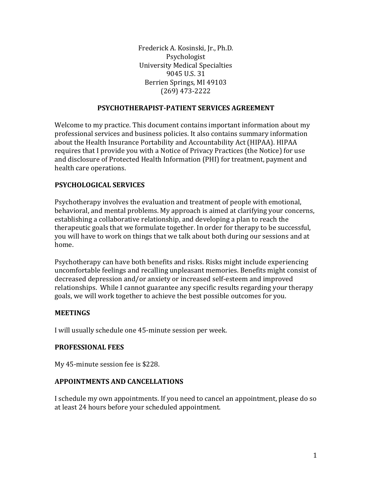Frederick A. Kosinski, Jr., Ph.D. Psychologist University Medical Specialties 9045 U.S. 31 Berrien Springs, MI 49103 (269) 473-2222

#### **PSYCHOTHERAPIST-PATIENT SERVICES AGREEMENT**

Welcome to my practice. This document contains important information about my professional services and business policies. It also contains summary information about the Health Insurance Portability and Accountability Act (HIPAA). HIPAA requires that I provide you with a Notice of Privacy Practices (the Notice) for use and disclosure of Protected Health Information (PHI) for treatment, payment and health care operations.

### **PSYCHOLOGICAL SERVICES**

Psychotherapy involves the evaluation and treatment of people with emotional, behavioral, and mental problems. My approach is aimed at clarifying your concerns, establishing a collaborative relationship, and developing a plan to reach the therapeutic goals that we formulate together. In order for therapy to be successful, you will have to work on things that we talk about both during our sessions and at home.

Psychotherapy can have both benefits and risks. Risks might include experiencing uncomfortable feelings and recalling unpleasant memories. Benefits might consist of decreased depression and/or anxiety or increased self-esteem and improved relationships. While I cannot guarantee any specific results regarding your therapy goals, we will work together to achieve the best possible outcomes for you.

#### **MEETINGS**

I will usually schedule one 45-minute session per week.

#### **PROFESSIONAL FEES**

My 45-minute session fee is \$228.

#### **APPOINTMENTS AND CANCELLATIONS**

I schedule my own appointments. If you need to cancel an appointment, please do so at least 24 hours before your scheduled appointment.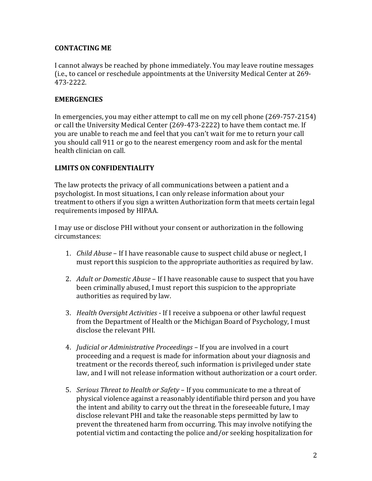### **CONTACTING ME**

I cannot always be reached by phone immediately. You may leave routine messages (i.e., to cancel or reschedule appointments at the University Medical Center at 269- 473-2222.

#### **EMERGENCIES**

In emergencies, you may either attempt to call me on my cell phone (269-757-2154) or call the University Medical Center (269-473-2222) to have them contact me. If you are unable to reach me and feel that you can't wait for me to return your call you should call 911 or go to the nearest emergency room and ask for the mental health clinician on call.

# **LIMITS ON CONFIDENTIALITY**

The law protects the privacy of all communications between a patient and a psychologist. In most situations, I can only release information about your treatment to others if you sign a written Authorization form that meets certain legal requirements imposed by HIPAA.

I may use or disclose PHI without your consent or authorization in the following circumstances:

- 1. *Child Abuse* If I have reasonable cause to suspect child abuse or neglect, I must report this suspicion to the appropriate authorities as required by law.
- 2. *Adult or Domestic Abuse*  If I have reasonable cause to suspect that you have been criminally abused, I must report this suspicion to the appropriate authorities as required by law.
- 3. *Health Oversight Activities*  If I receive a subpoena or other lawful request from the Department of Health or the Michigan Board of Psychology, I must disclose the relevant PHI.
- 4. *Judicial or Administrative Proceedings*  If you are involved in a court proceeding and a request is made for information about your diagnosis and treatment or the records thereof, such information is privileged under state law, and I will not release information without authorization or a court order.
- 5. *Serious Threat to Health or Safety*  If you communicate to me a threat of physical violence against a reasonably identifiable third person and you have the intent and ability to carry out the threat in the foreseeable future, I may disclose relevant PHI and take the reasonable steps permitted by law to prevent the threatened harm from occurring. This may involve notifying the potential victim and contacting the police and/or seeking hospitalization for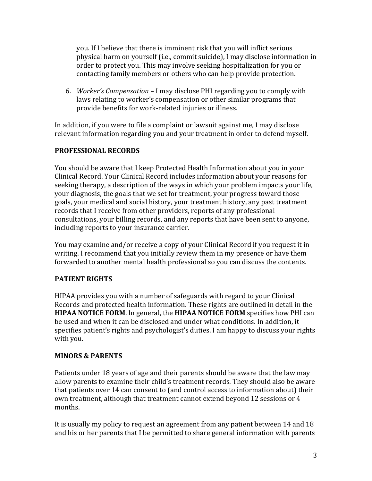you. If I believe that there is imminent risk that you will inflict serious physical harm on yourself (i.e., commit suicide), I may disclose information in order to protect you. This may involve seeking hospitalization for you or contacting family members or others who can help provide protection.

6. *Worker's Compensation* – I may disclose PHI regarding you to comply with laws relating to worker's compensation or other similar programs that provide benefits for work-related injuries or illness.

In addition, if you were to file a complaint or lawsuit against me, I may disclose relevant information regarding you and your treatment in order to defend myself.

# **PROFESSIONAL RECORDS**

You should be aware that I keep Protected Health Information about you in your Clinical Record. Your Clinical Record includes information about your reasons for seeking therapy, a description of the ways in which your problem impacts your life, your diagnosis, the goals that we set for treatment, your progress toward those goals, your medical and social history, your treatment history, any past treatment records that I receive from other providers, reports of any professional consultations, your billing records, and any reports that have been sent to anyone, including reports to your insurance carrier.

You may examine and/or receive a copy of your Clinical Record if you request it in writing. I recommend that you initially review them in my presence or have them forwarded to another mental health professional so you can discuss the contents.

# **PATIENT RIGHTS**

HIPAA provides you with a number of safeguards with regard to your Clinical Records and protected health information. These rights are outlined in detail in the **HIPAA NOTICE FORM**. In general, the **HIPAA NOTICE FORM** specifies how PHI can be used and when it can be disclosed and under what conditions. In addition, it specifies patient's rights and psychologist's duties. I am happy to discuss your rights with you.

# **MINORS & PARENTS**

Patients under 18 years of age and their parents should be aware that the law may allow parents to examine their child's treatment records. They should also be aware that patients over 14 can consent to (and control access to information about) their own treatment, although that treatment cannot extend beyond 12 sessions or 4 months.

It is usually my policy to request an agreement from any patient between 14 and 18 and his or her parents that I be permitted to share general information with parents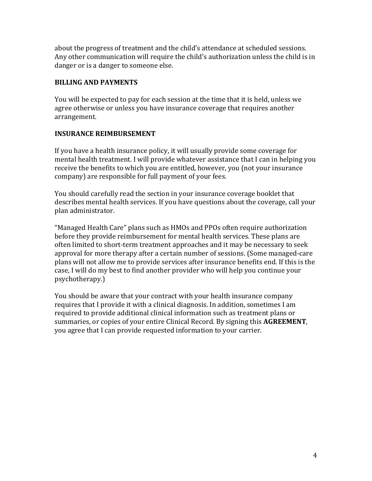about the progress of treatment and the child's attendance at scheduled sessions. Any other communication will require the child's authorization unless the child is in danger or is a danger to someone else.

### **BILLING AND PAYMENTS**

You will be expected to pay for each session at the time that it is held, unless we agree otherwise or unless you have insurance coverage that requires another arrangement.

### **INSURANCE REIMBURSEMENT**

If you have a health insurance policy, it will usually provide some coverage for mental health treatment. I will provide whatever assistance that I can in helping you receive the benefits to which you are entitled, however, you (not your insurance company) are responsible for full payment of your fees.

You should carefully read the section in your insurance coverage booklet that describes mental health services. If you have questions about the coverage, call your plan administrator.

"Managed Health Care" plans such as HMOs and PPOs often require authorization before they provide reimbursement for mental health services. These plans are often limited to short-term treatment approaches and it may be necessary to seek approval for more therapy after a certain number of sessions. (Some managed-care plans will not allow me to provide services after insurance benefits end. If this is the case, I will do my best to find another provider who will help you continue your psychotherapy.)

You should be aware that your contract with your health insurance company requires that I provide it with a clinical diagnosis. In addition, sometimes I am required to provide additional clinical information such as treatment plans or summaries, or copies of your entire Clinical Record. By signing this **AGREEMENT**, you agree that I can provide requested information to your carrier.